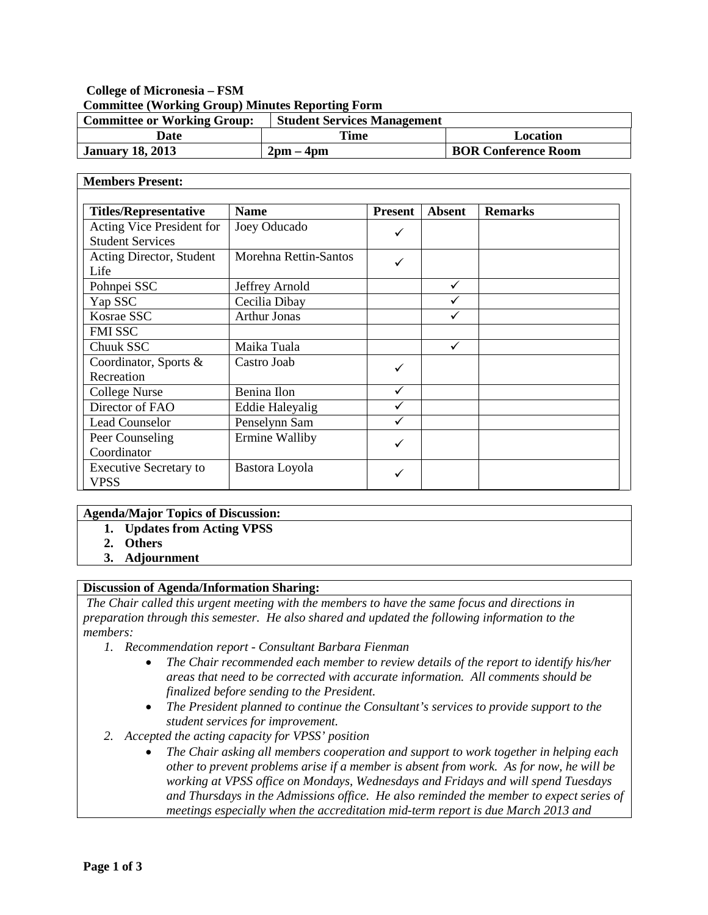# **College of Micronesia – FSM Committee (Working Group) Minutes Reporting Form**

| <b>Committee or Working Group:</b> | <b>Student Services Management</b> |                            |
|------------------------------------|------------------------------------|----------------------------|
| Date                               | Time                               | Location                   |
| <b>January 18, 2013</b>            | $2 \text{pm} - 4 \text{pm}$        | <b>BOR Conference Room</b> |

#### **Members Present: Titles/Representative Name Present Absent Remarks** Acting Vice President for Student Services Joey Oducado Acting Director, Student Life Morehna Rettin-Santos Pohnpei SSC Jeffrey Arnold V Yap SSC Cecilia Dibay I √ Kosrae SSC  $\blacksquare$  Arthur Jonas  $\blacksquare$ FMI SSC Chuuk SSC Maika Tuala (√ Coordinator, Sports & Recreation Castro Joab  $\text{Collect}$  Nurse Benina Ilon Director of FAO Bddie Haleyalig V Lead Counselor Penselynn Sam V Peer Counseling Coordinator Ermine Walliby  $\bigcup$ Executive Secretary to VPSS Bastora Loyola

## **Agenda/Major Topics of Discussion:**

- **1. Updates from Acting VPSS**
- **2. Others**
- **3. Adjournment**

### **Discussion of Agenda/Information Sharing:**

*The Chair called this urgent meeting with the members to have the same focus and directions in preparation through this semester. He also shared and updated the following information to the members:*

- *1. Recommendation report - Consultant Barbara Fienman* 
	- *The Chair recommended each member to review details of the report to identify his/her areas that need to be corrected with accurate information.**All comments should be finalized before sending to the President.*
	- *The President planned to continue the Consultant's services to provide support to the student services for improvement.*
- *2. Accepted the acting capacity for VPSS' position*
	- *The Chair asking all members cooperation and support to work together in helping each other to prevent problems arise if a member is absent from work. As for now, he will be working at VPSS office on Mondays, Wednesdays and Fridays and will spend Tuesdays and Thursdays in the Admissions office. He also reminded the member to expect series of meetings especially when the accreditation mid-term report is due March 2013 and*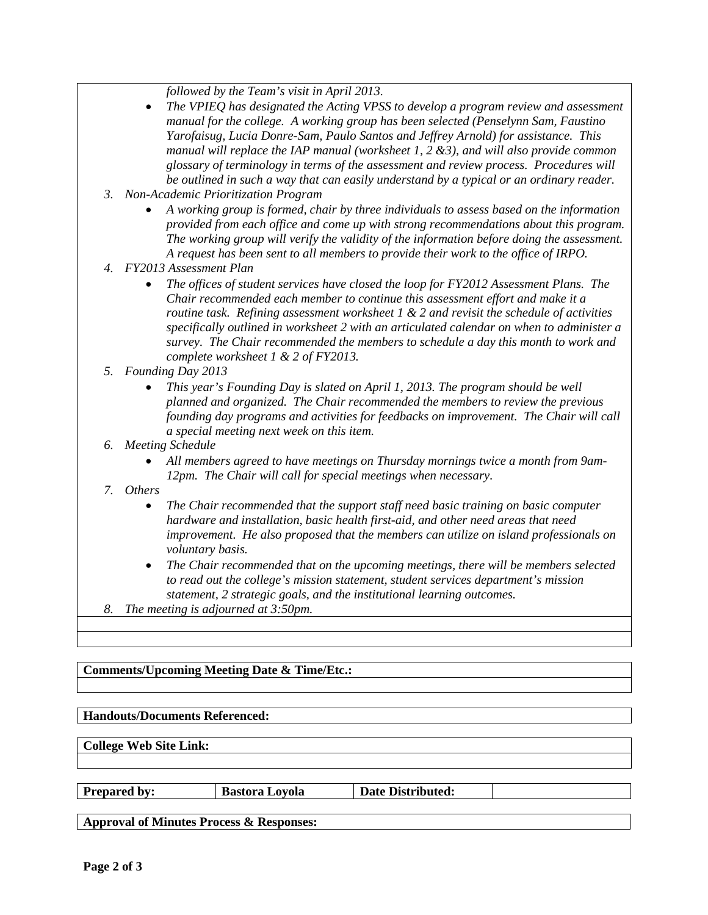*followed by the Team's visit in April 2013.*

- *The VPIEQ has designated the Acting VPSS to develop a program review and assessment manual for the college. A working group has been selected (Penselynn Sam, Faustino Yarofaisug, Lucia Donre-Sam, Paulo Santos and Jeffrey Arnold) for assistance. This manual will replace the IAP manual (worksheet 1, 2 &3), and will also provide common glossary of terminology in terms of the assessment and review process. Procedures will be outlined in such a way that can easily understand by a typical or an ordinary reader.*
- *3. Non-Academic Prioritization Program*
	- *A working group is formed, chair by three individuals to assess based on the information provided from each office and come up with strong recommendations about this program. The working group will verify the validity of the information before doing the assessment. A request has been sent to all members to provide their work to the office of IRPO.*
- *4. FY2013 Assessment Plan*
	- *The offices of student services have closed the loop for FY2012 Assessment Plans. The Chair recommended each member to continue this assessment effort and make it a routine task. Refining assessment worksheet 1 & 2 and revisit the schedule of activities specifically outlined in worksheet 2 with an articulated calendar on when to administer a survey. The Chair recommended the members to schedule a day this month to work and complete worksheet 1 & 2 of FY2013.*
- *5. Founding Day 2013*
	- *This year's Founding Day is slated on April 1, 2013. The program should be well planned and organized. The Chair recommended the members to review the previous founding day programs and activities for feedbacks on improvement. The Chair will call a special meeting next week on this item.*
- *6. Meeting Schedule*
	- *All members agreed to have meetings on Thursday mornings twice a month from 9am-12pm. The Chair will call for special meetings when necessary.*
- *7. Others*
	- *The Chair recommended that the support staff need basic training on basic computer hardware and installation, basic health first-aid, and other need areas that need improvement. He also proposed that the members can utilize on island professionals on voluntary basis.*
	- *The Chair recommended that on the upcoming meetings, there will be members selected to read out the college's mission statement, student services department's mission statement, 2 strategic goals, and the institutional learning outcomes.*
- *8. The meeting is adjourned at 3:50pm.*

## **Comments/Upcoming Meeting Date & Time/Etc.:**

### **Handouts/Documents Referenced:**

**College Web Site Link:**

| <b>Prepared by:</b> |
|---------------------|
|---------------------|

**Prepared Bastora Loyola Date Distributed:** 

**Approval of Minutes Process & Responses:**